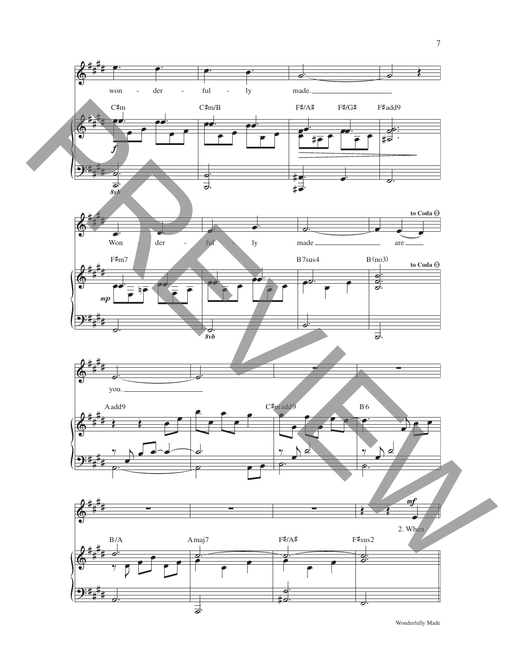







 $\boldsymbol{7}$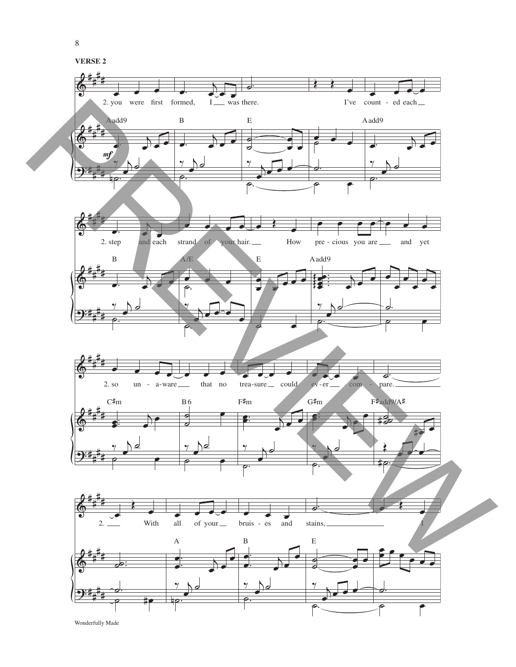

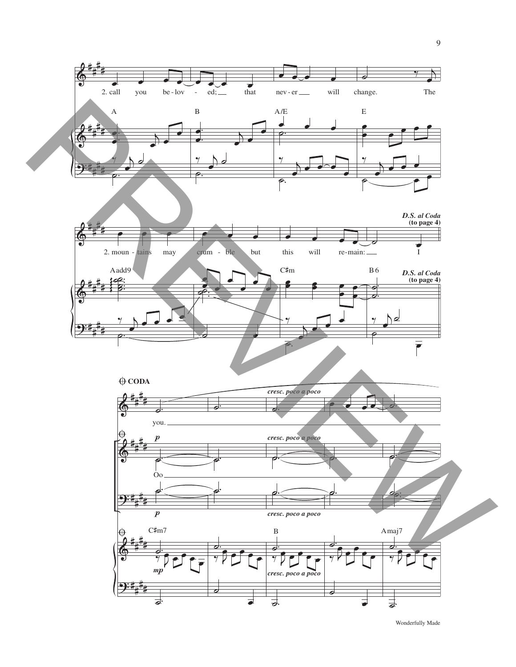



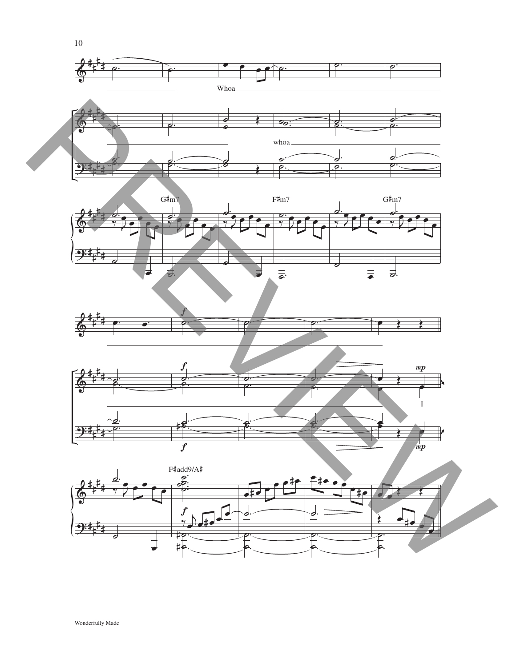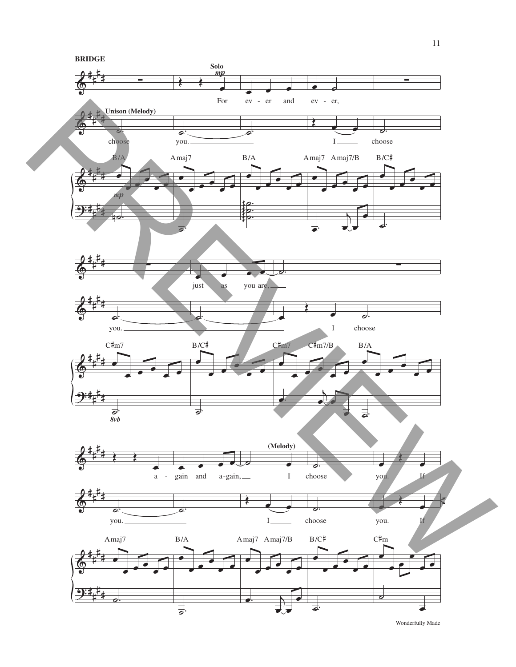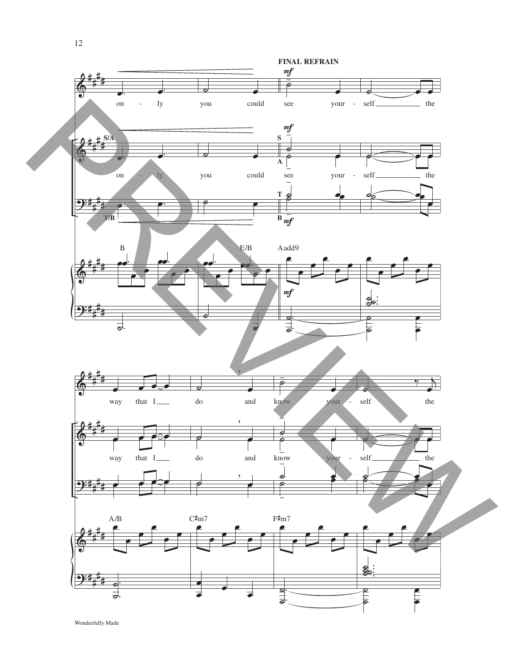**FINAL REFRAIN**  $m f$ G P  $\lg$ could  $-$  the on you your - self\_ see  $\overline{a}$  $m f$  $\frac{\text{# }S/A}{\text{#}}$ S  $\mathbf A$ could  $\alpha$ you see your self. the ly  $\overline{a}$  $\mathbf T$  $\overline{\mathfrak{f}}$ ╥ 7. T  $\overline{B_{m}}$  $T/B$  $\, {\bf B}$  $E/B$ Aadd9  $m f$  $\frac{\partial}{\partial \varphi}$  $9:4$  $\overline{\mathcal{O}}$  $\overline{\mathcal{L}}$  $\frac{2}{\pi}$  $\overline{\sigma}$ .  $\exists$ 5  $\overline{\mathbf{y}}$  $\rightarrow$ K ⋥ that  $I$ \_  ${\rm do}$ and know your self the way  $\overline{a}$  $\overline{\bullet}$ way that  $I_{-}$  ${\rm do}$  $\quad$  and know self. the your 6 <del>o): #</del> È.  $C\frac{4}{3}m$ 7  $\rm A/B$  $F\sharp m7$ S  $\ddot{\cdot}$  $9:1$ 6  $\frac{1}{\phi}$  $\frac{1}{2}$ E  $\overline{\bullet}$ 능

Wonderfully Made

12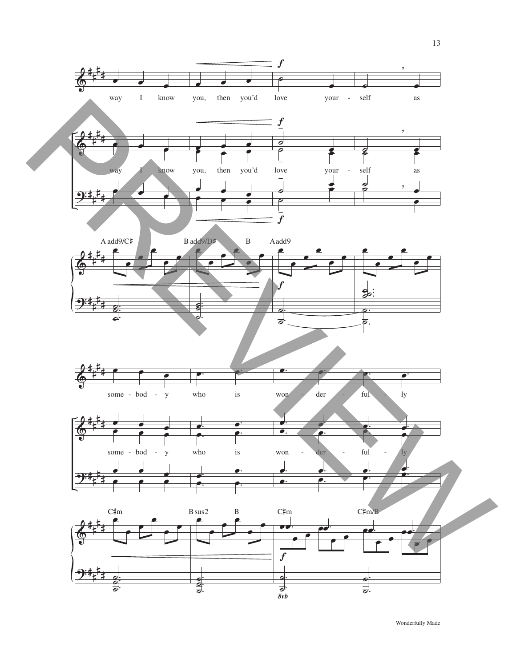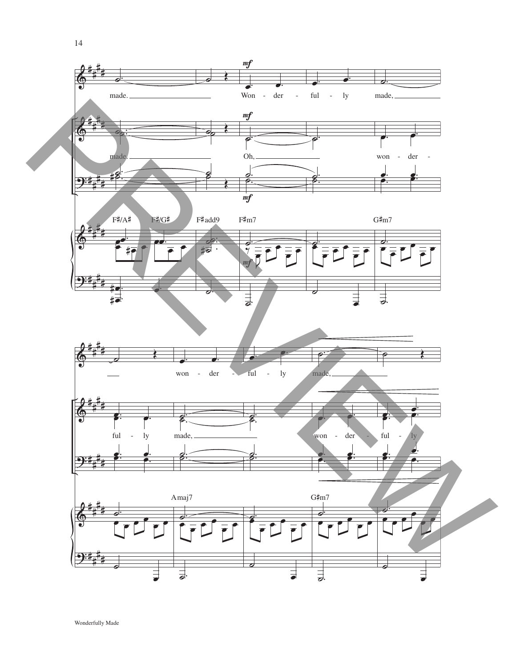

 $14$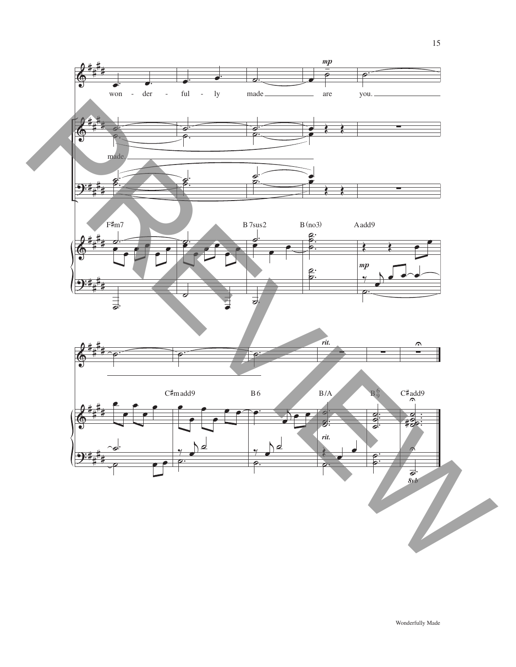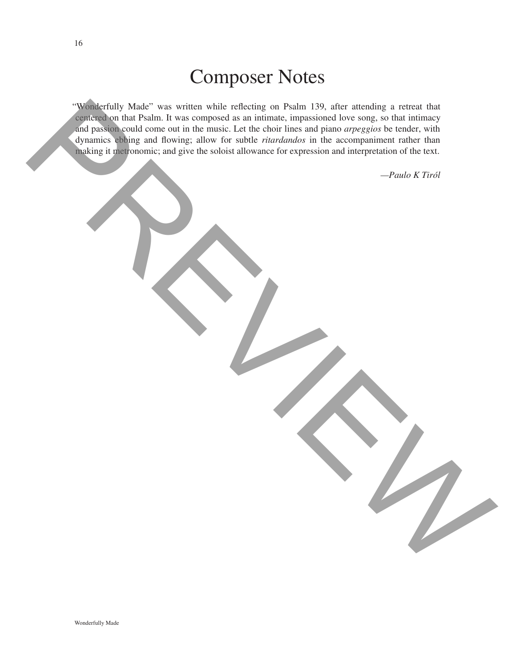## Composer Notes

"Wonderfully Made" was written while reflecting on Psalm 139, after attending a retreat that centered on that Psalm. It was composed as an intimate, impassioned love song, so that intimacy and passion could come out in the music. Let the choir lines and piano *arpeggios* be tender, with dynamics ebbing and flowing; allow for subtle *ritardandos* in the accompaniment rather than making it metronomic; and give the soloist allowance for expression and interpretation of the text.

where we were the state where the intermediate in Paulin 1991, alter at the state in the main term of the term of the mass level of the mass level of the mass level of the mass level of the mass level of the mass level of *—Paulo K Tiról*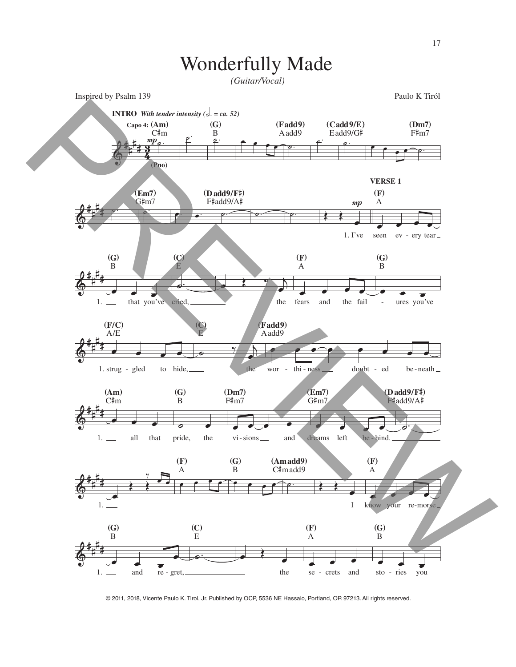

© 2011, 2018, Vicente Paulo K. Tirol, Jr. Published by OCP, 5536 NE Hassalo, Portland, OR 97213. All rights reserved.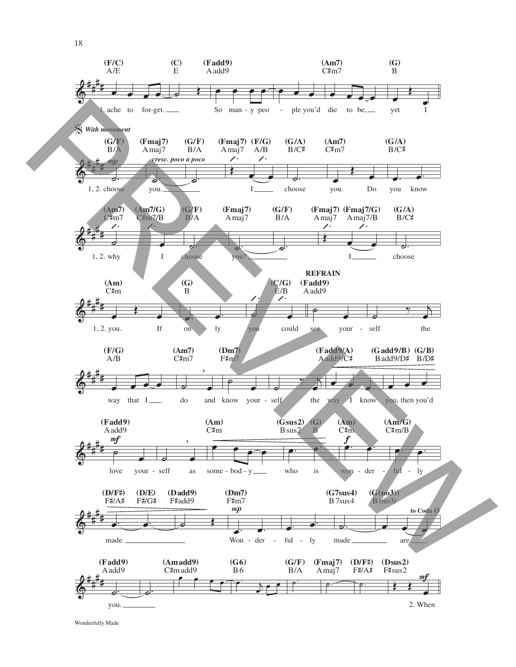18

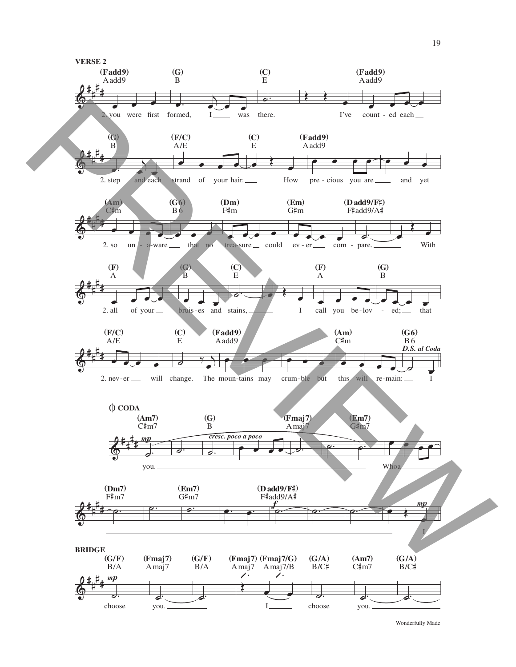